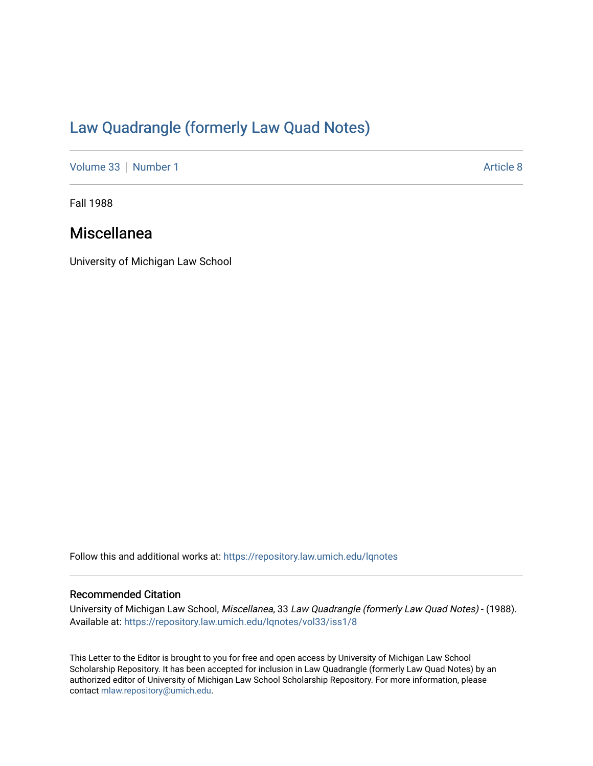# [Law Quadrangle \(formerly Law Quad Notes\)](https://repository.law.umich.edu/lqnotes)

[Volume 33](https://repository.law.umich.edu/lqnotes/vol33) [Number 1](https://repository.law.umich.edu/lqnotes/vol33/iss1) [Article 8](https://repository.law.umich.edu/lqnotes/vol33/iss1/8) Article 8

Fall 1988

# Miscellanea

University of Michigan Law School

Follow this and additional works at: [https://repository.law.umich.edu/lqnotes](https://repository.law.umich.edu/lqnotes?utm_source=repository.law.umich.edu%2Flqnotes%2Fvol33%2Fiss1%2F8&utm_medium=PDF&utm_campaign=PDFCoverPages) 

### Recommended Citation

University of Michigan Law School, Miscellanea, 33 Law Quadrangle (formerly Law Quad Notes) - (1988). Available at: [https://repository.law.umich.edu/lqnotes/vol33/iss1/8](https://repository.law.umich.edu/lqnotes/vol33/iss1/8?utm_source=repository.law.umich.edu%2Flqnotes%2Fvol33%2Fiss1%2F8&utm_medium=PDF&utm_campaign=PDFCoverPages) 

This Letter to the Editor is brought to you for free and open access by University of Michigan Law School Scholarship Repository. It has been accepted for inclusion in Law Quadrangle (formerly Law Quad Notes) by an authorized editor of University of Michigan Law School Scholarship Repository. For more information, please contact [mlaw.repository@umich.edu](mailto:mlaw.repository@umich.edu).